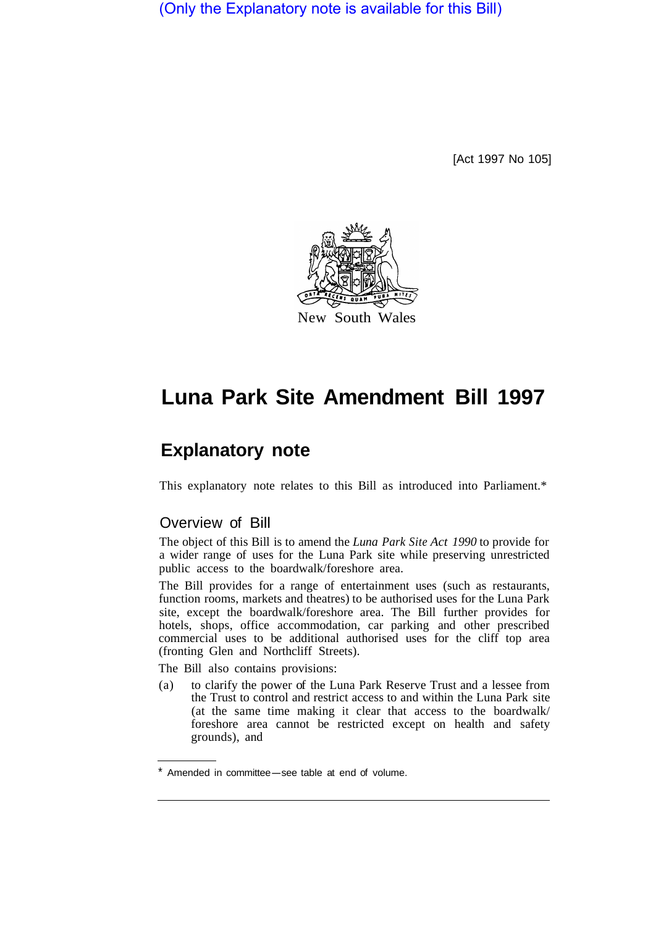(Only the Explanatory note is available for this Bill)

[Act 1997 No 105]



# **Luna Park Site Amendment Bill 1997**

## **Explanatory note**

This explanatory note relates to this Bill as introduced into Parliament.\*

#### Overview of Bill

The object of this Bill is to amend the *Luna Park Site Act 1990* to provide for a wider range of uses for the Luna Park site while preserving unrestricted public access to the boardwalk/foreshore area.

The Bill provides for a range of entertainment uses (such as restaurants, function rooms, markets and theatres) to be authorised uses for the Luna Park site, except the boardwalk/foreshore area. The Bill further provides for hotels, shops, office accommodation, car parking and other prescribed commercial uses to be additional authorised uses for the cliff top area (fronting Glen and Northcliff Streets).

The Bill also contains provisions:

(a) to clarify the power of the Luna Park Reserve Trust and a lessee from the Trust to control and restrict access to and within the Luna Park site (at the same time making it clear that access to the boardwalk/ foreshore area cannot be restricted except on health and safety grounds), and

Amended in committee-see table at end of volume.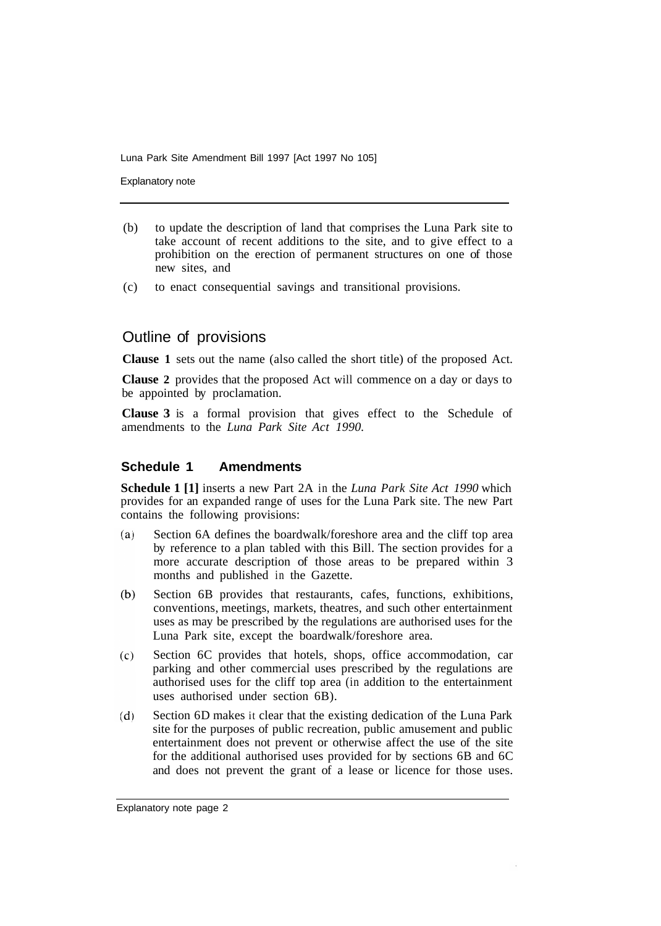Luna Park Site Amendment Bill 1997 [Act 1997 No 105]

Explanatory note

- (b) to update the description of land that comprises the Luna Park site to take account of recent additions to the site, and to give effect to a prohibition on the erection of permanent structures on one of those new sites, and
- (c) to enact consequential savings and transitional provisions.

### Outline of provisions

**Clause 1** sets out the name (also called the short title) of the proposed Act.

**Clause 2** provides that the proposed Act will commence on a day or days to be appointed by proclamation.

**Clause 3** is a formal provision that gives effect to the Schedule of amendments to the *Luna Park Site Act 1990.* 

#### **Schedule 1 Amendments**

**Schedule 1 [1]** inserts a new Part 2A in the *Luna Park Site Act 1990* which provides for an expanded range of uses for the Luna Park site. The new Part contains the following provisions:

- Section 6A defines the boardwalk/foreshore area and the cliff top area  $(a)$ by reference to a plan tabled with this Bill. The section provides for a more accurate description of those areas to be prepared within 3 months and published in the Gazette.
- $(b)$ Section 6B provides that restaurants, cafes, functions, exhibitions, conventions, meetings, markets, theatres, and such other entertainment uses as may be prescribed by the regulations are authorised uses for the Luna Park site, except the boardwalk/foreshore area.
- Section 6C provides that hotels, shops, office accommodation, car  $(c)$ parking and other commercial uses prescribed by the regulations are authorised uses for the cliff top area (in addition to the entertainment uses authorised under section 6B).
- $(d)$ Section 6D makes it clear that the existing dedication of the Luna Park site for the purposes of public recreation, public amusement and public entertainment does not prevent or otherwise affect the use of the site for the additional authorised uses provided for by sections 6B and 6C and does not prevent the grant of a lease or licence for those uses.

Explanatory note page 2